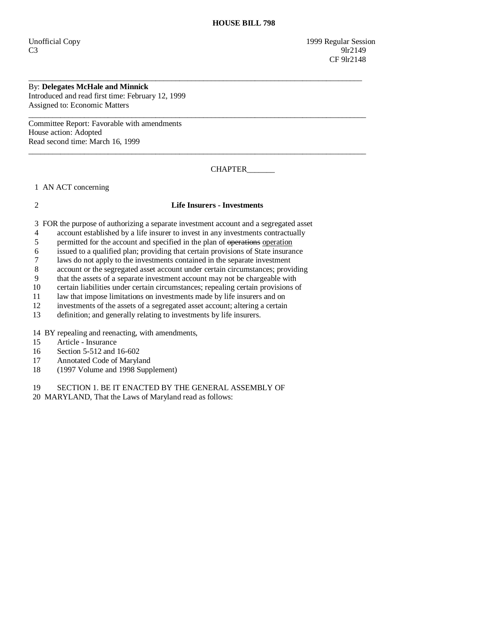Unofficial Copy 1999 Regular Session  $C3$  9lr2149 CF 9lr2148

## By: **Delegates McHale and Minnick**

Introduced and read first time: February 12, 1999 Assigned to: Economic Matters

Committee Report: Favorable with amendments House action: Adopted Read second time: March 16, 1999

CHAPTER\_\_\_\_\_\_\_

1 AN ACT concerning

## 2 **Life Insurers - Investments**

\_\_\_\_\_\_\_\_\_\_\_\_\_\_\_\_\_\_\_\_\_\_\_\_\_\_\_\_\_\_\_\_\_\_\_\_\_\_\_\_\_\_\_\_\_\_\_\_\_\_\_\_\_\_\_\_\_\_\_\_\_\_\_\_\_\_\_\_\_\_\_\_\_\_\_\_\_\_\_\_\_\_\_\_

 $\overline{\phantom{a}}$  ,  $\overline{\phantom{a}}$  ,  $\overline{\phantom{a}}$  ,  $\overline{\phantom{a}}$  ,  $\overline{\phantom{a}}$  ,  $\overline{\phantom{a}}$  ,  $\overline{\phantom{a}}$  ,  $\overline{\phantom{a}}$  ,  $\overline{\phantom{a}}$  ,  $\overline{\phantom{a}}$  ,  $\overline{\phantom{a}}$  ,  $\overline{\phantom{a}}$  ,  $\overline{\phantom{a}}$  ,  $\overline{\phantom{a}}$  ,  $\overline{\phantom{a}}$  ,  $\overline{\phantom{a}}$ 

 $\overline{\phantom{a}}$  ,  $\overline{\phantom{a}}$  ,  $\overline{\phantom{a}}$  ,  $\overline{\phantom{a}}$  ,  $\overline{\phantom{a}}$  ,  $\overline{\phantom{a}}$  ,  $\overline{\phantom{a}}$  ,  $\overline{\phantom{a}}$  ,  $\overline{\phantom{a}}$  ,  $\overline{\phantom{a}}$  ,  $\overline{\phantom{a}}$  ,  $\overline{\phantom{a}}$  ,  $\overline{\phantom{a}}$  ,  $\overline{\phantom{a}}$  ,  $\overline{\phantom{a}}$  ,  $\overline{\phantom{a}}$ 

3 FOR the purpose of authorizing a separate investment account and a segregated asset

- 4 account established by a life insurer to invest in any investments contractually
- 5 permitted for the account and specified in the plan of operations operation

6 issued to a qualified plan; providing that certain provisions of State insurance

7 laws do not apply to the investments contained in the separate investment

8 account or the segregated asset account under certain circumstances; providing

9 that the assets of a separate investment account may not be chargeable with

10 certain liabilities under certain circumstances; repealing certain provisions of

11 law that impose limitations on investments made by life insurers and on

12 investments of the assets of a segregated asset account; altering a certain

13 definition; and generally relating to investments by life insurers.

14 BY repealing and reenacting, with amendments,

15 Article - Insurance

- 16 Section 5-512 and 16-602
- 17 Annotated Code of Maryland
- 18 (1997 Volume and 1998 Supplement)

19 SECTION 1. BE IT ENACTED BY THE GENERAL ASSEMBLY OF

20 MARYLAND, That the Laws of Maryland read as follows: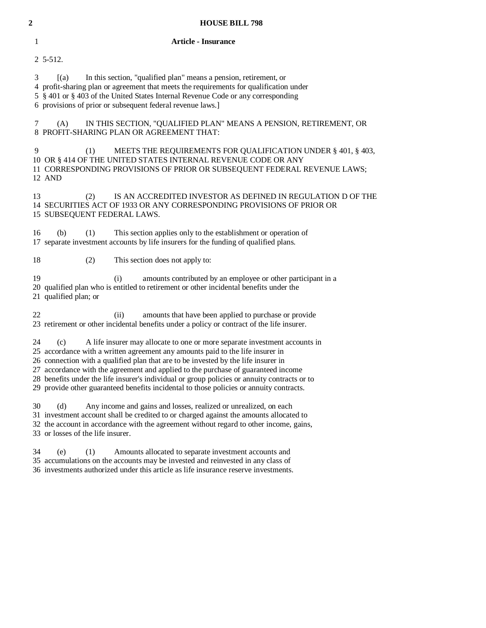| $\mathbf 2$  | <b>HOUSE BILL 798</b>                                                                                                                                                                                                                                                                                                                                                                                                                                                                                                                           |  |  |
|--------------|-------------------------------------------------------------------------------------------------------------------------------------------------------------------------------------------------------------------------------------------------------------------------------------------------------------------------------------------------------------------------------------------------------------------------------------------------------------------------------------------------------------------------------------------------|--|--|
| $\mathbf{1}$ | <b>Article - Insurance</b>                                                                                                                                                                                                                                                                                                                                                                                                                                                                                                                      |  |  |
|              | 2 5-512.                                                                                                                                                                                                                                                                                                                                                                                                                                                                                                                                        |  |  |
| 3            | In this section, "qualified plan" means a pension, retirement, or<br>(a)<br>4 profit-sharing plan or agreement that meets the requirements for qualification under<br>5 § 401 or § 403 of the United States Internal Revenue Code or any corresponding<br>6 provisions of prior or subsequent federal revenue laws.]                                                                                                                                                                                                                            |  |  |
| 7            | (A)<br>IN THIS SECTION, "QUALIFIED PLAN" MEANS A PENSION, RETIREMENT, OR<br>8 PROFIT-SHARING PLAN OR AGREEMENT THAT:                                                                                                                                                                                                                                                                                                                                                                                                                            |  |  |
| 9            | MEETS THE REQUIREMENTS FOR QUALIFICATION UNDER § 401, § 403,<br>(1)<br>10 OR § 414 OF THE UNITED STATES INTERNAL REVENUE CODE OR ANY<br>11 CORRESPONDING PROVISIONS OF PRIOR OR SUBSEQUENT FEDERAL REVENUE LAWS;<br>12 AND                                                                                                                                                                                                                                                                                                                      |  |  |
| 13           | IS AN ACCREDITED INVESTOR AS DEFINED IN REGULATION D OF THE<br>(2)<br>14 SECURITIES ACT OF 1933 OR ANY CORRESPONDING PROVISIONS OF PRIOR OR<br>15 SUBSEQUENT FEDERAL LAWS.                                                                                                                                                                                                                                                                                                                                                                      |  |  |
| 16           | This section applies only to the establishment or operation of<br>(b)<br>(1)<br>17 separate investment accounts by life insurers for the funding of qualified plans.                                                                                                                                                                                                                                                                                                                                                                            |  |  |
| 18           | (2)<br>This section does not apply to:                                                                                                                                                                                                                                                                                                                                                                                                                                                                                                          |  |  |
| 19           | amounts contributed by an employee or other participant in a<br>(i)<br>20 qualified plan who is entitled to retirement or other incidental benefits under the<br>21 qualified plan; or                                                                                                                                                                                                                                                                                                                                                          |  |  |
| 22           | amounts that have been applied to purchase or provide<br>(i)<br>23 retirement or other incidental benefits under a policy or contract of the life insurer.                                                                                                                                                                                                                                                                                                                                                                                      |  |  |
|              | 24<br>A life insurer may allocate to one or more separate investment accounts in<br>(c)<br>25 accordance with a written agreement any amounts paid to the life insurer in<br>26 connection with a qualified plan that are to be invested by the life insurer in<br>27 accordance with the agreement and applied to the purchase of guaranteed income<br>28 benefits under the life insurer's individual or group policies or annuity contracts or to<br>29 provide other guaranteed benefits incidental to those policies or annuity contracts. |  |  |
| 30           | Any income and gains and losses, realized or unrealized, on each<br>(d)<br>31 investment account shall be credited to or charged against the amounts allocated to<br>32 the account in accordance with the agreement without regard to other income, gains,<br>33 or losses of the life insurer.                                                                                                                                                                                                                                                |  |  |
| 34           | (1)<br>(e)<br>Amounts allocated to separate investment accounts and<br>35 accumulations on the accounts may be invested and reinvested in any class of<br>36 investments authorized under this article as life insurance reserve investments.                                                                                                                                                                                                                                                                                                   |  |  |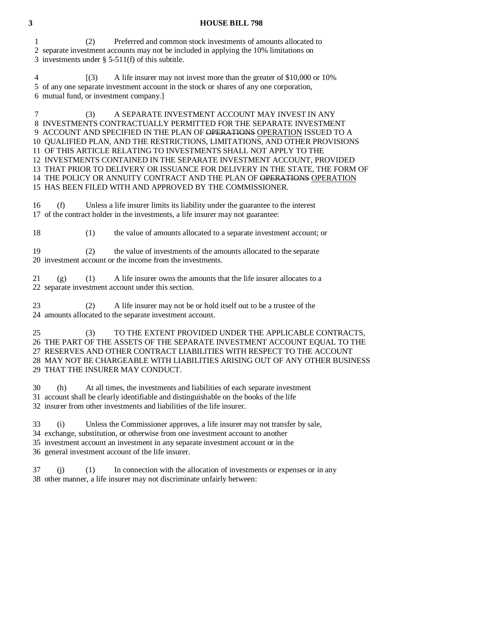## **3 HOUSE BILL 798**

 1 (2) Preferred and common stock investments of amounts allocated to 2 separate investment accounts may not be included in applying the 10% limitations on 3 investments under § 5-511(f) of this subtitle.

 4 [(3) A life insurer may not invest more than the greater of \$10,000 or 10% 5 of any one separate investment account in the stock or shares of any one corporation, 6 mutual fund, or investment company.]

 7 (3) A SEPARATE INVESTMENT ACCOUNT MAY INVEST IN ANY 8 INVESTMENTS CONTRACTUALLY PERMITTED FOR THE SEPARATE INVESTMENT 9 ACCOUNT AND SPECIFIED IN THE PLAN OF OPERATIONS OPERATION ISSUED TO A 10 QUALIFIED PLAN, AND THE RESTRICTIONS, LIMITATIONS, AND OTHER PROVISIONS 11 OF THIS ARTICLE RELATING TO INVESTMENTS SHALL NOT APPLY TO THE 12 INVESTMENTS CONTAINED IN THE SEPARATE INVESTMENT ACCOUNT, PROVIDED 13 THAT PRIOR TO DELIVERY OR ISSUANCE FOR DELIVERY IN THE STATE, THE FORM OF 14 THE POLICY OR ANNUITY CONTRACT AND THE PLAN OF OPERATIONS OPERATION 15 HAS BEEN FILED WITH AND APPROVED BY THE COMMISSIONER.

 16 (f) Unless a life insurer limits its liability under the guarantee to the interest 17 of the contract holder in the investments, a life insurer may not guarantee:

18 (1) the value of amounts allocated to a separate investment account; or

 19 (2) the value of investments of the amounts allocated to the separate 20 investment account or the income from the investments.

 $21$  (g) (1) A life insurer owns the amounts that the life insurer allocates to a 22 separate investment account under this section.

 23 (2) A life insurer may not be or hold itself out to be a trustee of the 24 amounts allocated to the separate investment account.

 25 (3) TO THE EXTENT PROVIDED UNDER THE APPLICABLE CONTRACTS, 26 THE PART OF THE ASSETS OF THE SEPARATE INVESTMENT ACCOUNT EQUAL TO THE 27 RESERVES AND OTHER CONTRACT LIABILITIES WITH RESPECT TO THE ACCOUNT 28 MAY NOT BE CHARGEABLE WITH LIABILITIES ARISING OUT OF ANY OTHER BUSINESS 29 THAT THE INSURER MAY CONDUCT.

30 (h) At all times, the investments and liabilities of each separate investment

31 account shall be clearly identifiable and distinguishable on the books of the life

32 insurer from other investments and liabilities of the life insurer.

33 (i) Unless the Commissioner approves, a life insurer may not transfer by sale,

34 exchange, substitution, or otherwise from one investment account to another

35 investment account an investment in any separate investment account or in the

36 general investment account of the life insurer.

 37 (j) (1) In connection with the allocation of investments or expenses or in any 38 other manner, a life insurer may not discriminate unfairly between: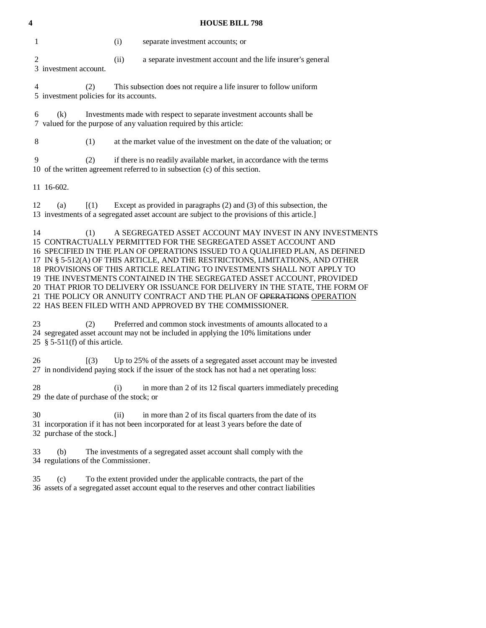| 4 | <b>HOUSE BILL 798</b>                                                                                                                                                                                        |                                                              |  |  |
|---|--------------------------------------------------------------------------------------------------------------------------------------------------------------------------------------------------------------|--------------------------------------------------------------|--|--|
|   | 1<br>(i)<br>separate investment accounts; or                                                                                                                                                                 |                                                              |  |  |
|   | $\overline{c}$<br>(ii)<br>3 investment account.                                                                                                                                                              | a separate investment account and the life insurer's general |  |  |
|   | This subsection does not require a life insurer to follow uniform<br>4<br>(2)<br>5 investment policies for its accounts.                                                                                     |                                                              |  |  |
|   | Investments made with respect to separate investment accounts shall be<br>6<br>(k)<br>7 valued for the purpose of any valuation required by this article:                                                    |                                                              |  |  |
|   | 8<br>at the market value of the investment on the date of the valuation; or<br>(1)                                                                                                                           |                                                              |  |  |
|   | 9<br>if there is no readily available market, in accordance with the terms<br>(2)<br>10 of the written agreement referred to in subsection (c) of this section.                                              |                                                              |  |  |
|   | 11 16-602.                                                                                                                                                                                                   |                                                              |  |  |
|   | Except as provided in paragraphs $(2)$ and $(3)$ of this subsection, the<br>12<br>$\lceil (1) \rceil$<br>(a)<br>13 investments of a segregated asset account are subject to the provisions of this article.] |                                                              |  |  |
|   | 14<br>(1)                                                                                                                                                                                                    | A SEGREGATED ASSET ACCOUNT MAY INVEST IN ANY INVESTMENTS     |  |  |
|   | 15 CONTRACTUALLY PERMITTED FOR THE SEGREGATED ASSET ACCOUNT AND                                                                                                                                              |                                                              |  |  |
|   | 16 SPECIFIED IN THE PLAN OF OPERATIONS ISSUED TO A QUALIFIED PLAN, AS DEFINED                                                                                                                                |                                                              |  |  |
|   | 17 IN § 5-512(A) OF THIS ARTICLE, AND THE RESTRICTIONS, LIMITATIONS, AND OTHER                                                                                                                               |                                                              |  |  |
|   | 18 PROVISIONS OF THIS ARTICLE RELATING TO INVESTMENTS SHALL NOT APPLY TO                                                                                                                                     |                                                              |  |  |
|   | 19 THE INVESTMENTS CONTAINED IN THE SEGREGATED ASSET ACCOUNT, PROVIDED                                                                                                                                       |                                                              |  |  |
|   | 20 THAT PRIOR TO DELIVERY OR ISSUANCE FOR DELIVERY IN THE STATE, THE FORM OF                                                                                                                                 |                                                              |  |  |
|   | 21 THE POLICY OR ANNUITY CONTRACT AND THE PLAN OF OPERATIONS OPERATION                                                                                                                                       |                                                              |  |  |

22 HAS BEEN FILED WITH AND APPROVED BY THE COMMISSIONER.

 23 (2) Preferred and common stock investments of amounts allocated to a 24 segregated asset account may not be included in applying the 10% limitations under 25 § 5-511(f) of this article.

26 [(3) Up to 25% of the assets of a segregated asset account may be invested 27 in nondividend paying stock if the issuer of the stock has not had a net operating loss:

28 (i) in more than 2 of its 12 fiscal quarters immediately preceding 29 the date of purchase of the stock; or

 30 (ii) in more than 2 of its fiscal quarters from the date of its 31 incorporation if it has not been incorporated for at least 3 years before the date of 32 purchase of the stock.]

 33 (b) The investments of a segregated asset account shall comply with the 34 regulations of the Commissioner.

 35 (c) To the extent provided under the applicable contracts, the part of the 36 assets of a segregated asset account equal to the reserves and other contract liabilities